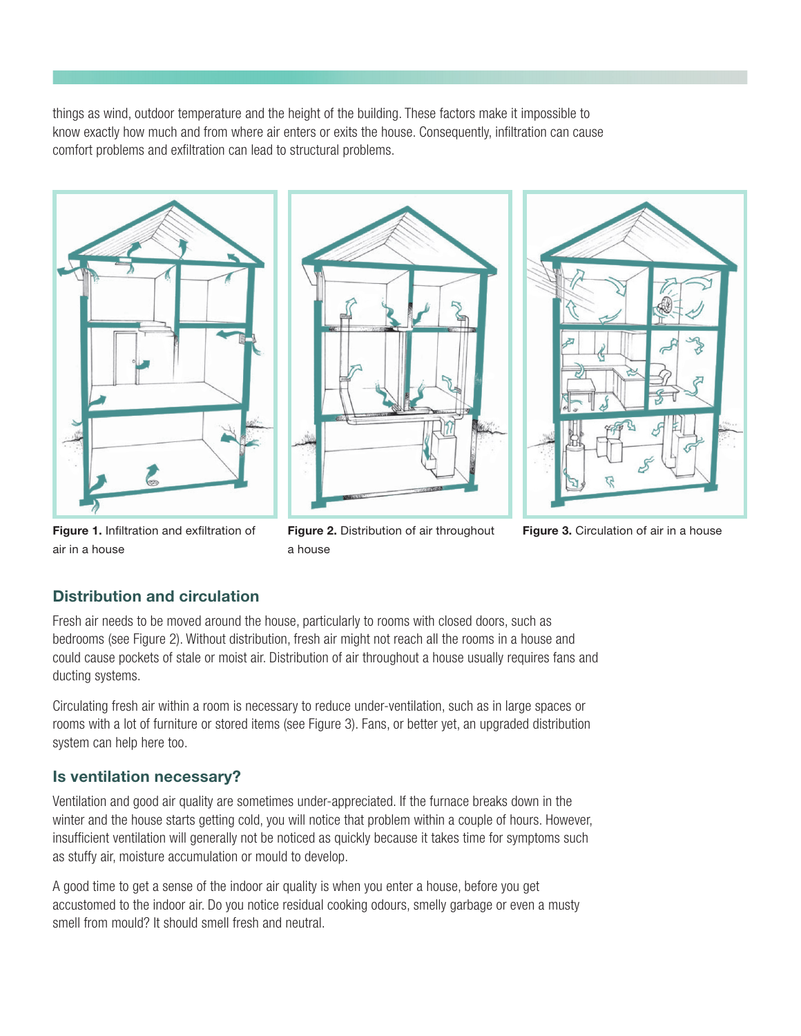things as wind, outdoor temperature and the height of the building. These factors make it impossible to know exactly how much and from where air enters or exits the house. Consequently, infiltration can cause comfort problems and exfiltration can lead to structural problems.







Figure 3. Circulation of air in a house

#### Figure 1. Infiltration and exfiltration of air in a house

Figure 2. Distribution of air throughout a house

# Distribution and circulation

Fresh air needs to be moved around the house, particularly to rooms with closed doors, such as bedrooms (see Figure 2). Without distribution, fresh air might not reach all the rooms in a house and could cause pockets of stale or moist air. Distribution of air throughout a house usually requires fans and ducting systems.

Circulating fresh air within a room is necessary to reduce under-ventilation, such as in large spaces or rooms with a lot of furniture or stored items (see Figure 3). Fans, or better yet, an upgraded distribution system can help here too.

## Is ventilation necessary?

Ventilation and good air quality are sometimes under-appreciated. If the furnace breaks down in the winter and the house starts getting cold, you will notice that problem within a couple of hours. However, insufficient ventilation will generally not be noticed as quickly because it takes time for symptoms such as stuffy air, moisture accumulation or mould to develop.

A good time to get a sense of the indoor air quality is when you enter a house, before you get accustomed to the indoor air. Do you notice residual cooking odours, smelly garbage or even a musty smell from mould? It should smell fresh and neutral.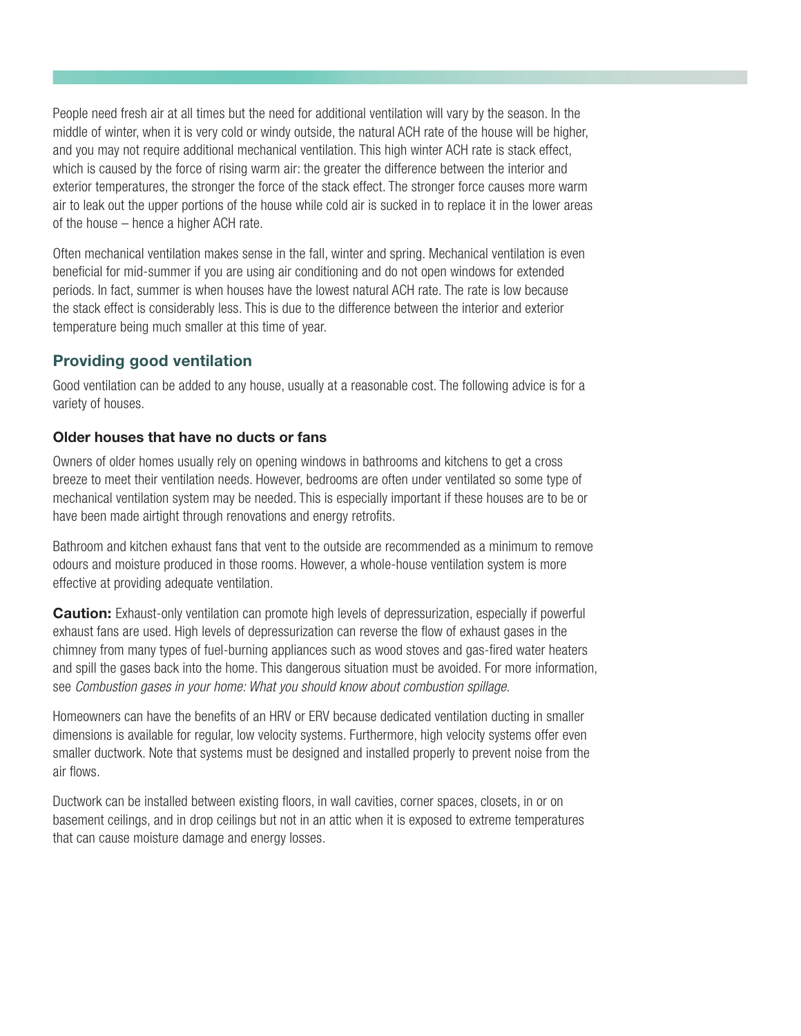People need fresh air at all times but the need for additional ventilation will vary by the season. In the middle of winter, when it is very cold or windy outside, the natural ACH rate of the house will be higher, and you may not require additional mechanical ventilation. This high winter ACH rate is stack effect, which is caused by the force of rising warm air: the greater the difference between the interior and exterior temperatures, the stronger the force of the stack effect. The stronger force causes more warm air to leak out the upper portions of the house while cold air is sucked in to replace it in the lower areas of the house – hence a higher ACH rate.

Often mechanical ventilation makes sense in the fall, winter and spring. Mechanical ventilation is even beneficial for mid-summer if you are using air conditioning and do not open windows for extended periods. In fact, summer is when houses have the lowest natural ACH rate. The rate is low because the stack effect is considerably less. This is due to the difference between the interior and exterior temperature being much smaller at this time of year.

### Providing good ventilation

Good ventilation can be added to any house, usually at a reasonable cost. The following advice is for a variety of houses.

### Older houses that have no ducts or fans

Owners of older homes usually rely on opening windows in bathrooms and kitchens to get a cross breeze to meet their ventilation needs. However, bedrooms are often under ventilated so some type of mechanical ventilation system may be needed. This is especially important if these houses are to be or have been made airtight through renovations and energy retrofits.

Bathroom and kitchen exhaust fans that vent to the outside are recommended as a minimum to remove odours and moisture produced in those rooms. However, a whole-house ventilation system is more effective at providing adequate ventilation.

**Caution:** Exhaust-only ventilation can promote high levels of depressurization, especially if powerful exhaust fans are used. High levels of depressurization can reverse the flow of exhaust gases in the chimney from many types of fuel-burning appliances such as wood stoves and gas-fired water heaters and spill the gases back into the home. This dangerous situation must be avoided. For more information, see *Combustion gases in your home: What you should know about combustion spillage*.

Homeowners can have the benefits of an HRV or ERV because dedicated ventilation ducting in smaller dimensions is available for regular, low velocity systems. Furthermore, high velocity systems offer even smaller ductwork. Note that systems must be designed and installed properly to prevent noise from the air flows.

Ductwork can be installed between existing floors, in wall cavities, corner spaces, closets, in or on basement ceilings, and in drop ceilings but not in an attic when it is exposed to extreme temperatures that can cause moisture damage and energy losses.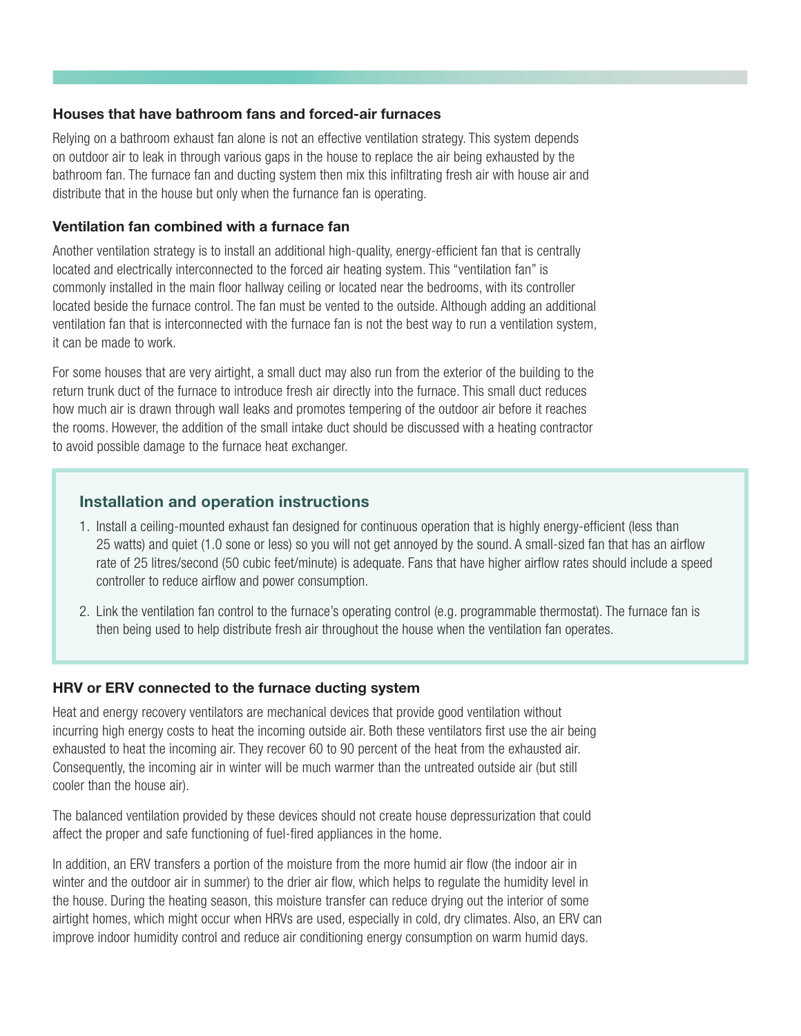#### Houses that have bathroom fans and forced-air furnaces

Relying on a bathroom exhaust fan alone is not an effective ventilation strategy. This system depends on outdoor air to leak in through various gaps in the house to replace the air being exhausted by the bathroom fan. The furnace fan and ducting system then mix this infiltrating fresh air with house air and distribute that in the house but only when the furnance fan is operating.

#### Ventilation fan combined with a furnace fan

Another ventilation strategy is to install an additional high-quality, energy-efficient fan that is centrally located and electrically interconnected to the forced air heating system. This "ventilation fan" is commonly installed in the main floor hallway ceiling or located near the bedrooms, with its controller located beside the furnace control. The fan must be vented to the outside. Although adding an additional ventilation fan that is interconnected with the furnace fan is not the best way to run a ventilation system, it can be made to work.

For some houses that are very airtight, a small duct may also run from the exterior of the building to the return trunk duct of the furnace to introduce fresh air directly into the furnace. This small duct reduces how much air is drawn through wall leaks and promotes tempering of the outdoor air before it reaches the rooms. However, the addition of the small intake duct should be discussed with a heating contractor to avoid possible damage to the furnace heat exchanger.

### Installation and operation instructions

- 1. Install a ceiling-mounted exhaust fan designed for continuous operation that is highly energy-efficient (less than 25 watts) and quiet (1.0 sone or less) so you will not get annoyed by the sound. A small-sized fan that has an airflow rate of 25 litres/second (50 cubic feet/minute) is adequate. Fans that have higher airflow rates should include a speed controller to reduce airflow and power consumption.
- 2. Link the ventilation fan control to the furnace's operating control (e.g. programmable thermostat). The furnace fan is then being used to help distribute fresh air throughout the house when the ventilation fan operates.

### HRV or ERV connected to the furnace ducting system

Heat and energy recovery ventilators are mechanical devices that provide good ventilation without incurring high energy costs to heat the incoming outside air. Both these ventilators first use the air being exhausted to heat the incoming air. They recover 60 to 90 percent of the heat from the exhausted air. Consequently, the incoming air in winter will be much warmer than the untreated outside air (but still cooler than the house air).

The balanced ventilation provided by these devices should not create house depressurization that could affect the proper and safe functioning of fuel-fired appliances in the home.

In addition, an ERV transfers a portion of the moisture from the more humid air flow (the indoor air in winter and the outdoor air in summer) to the drier air flow, which helps to regulate the humidity level in the house. During the heating season, this moisture transfer can reduce drying out the interior of some airtight homes, which might occur when HRVs are used, especially in cold, dry climates. Also, an ERV can improve indoor humidity control and reduce air conditioning energy consumption on warm humid days.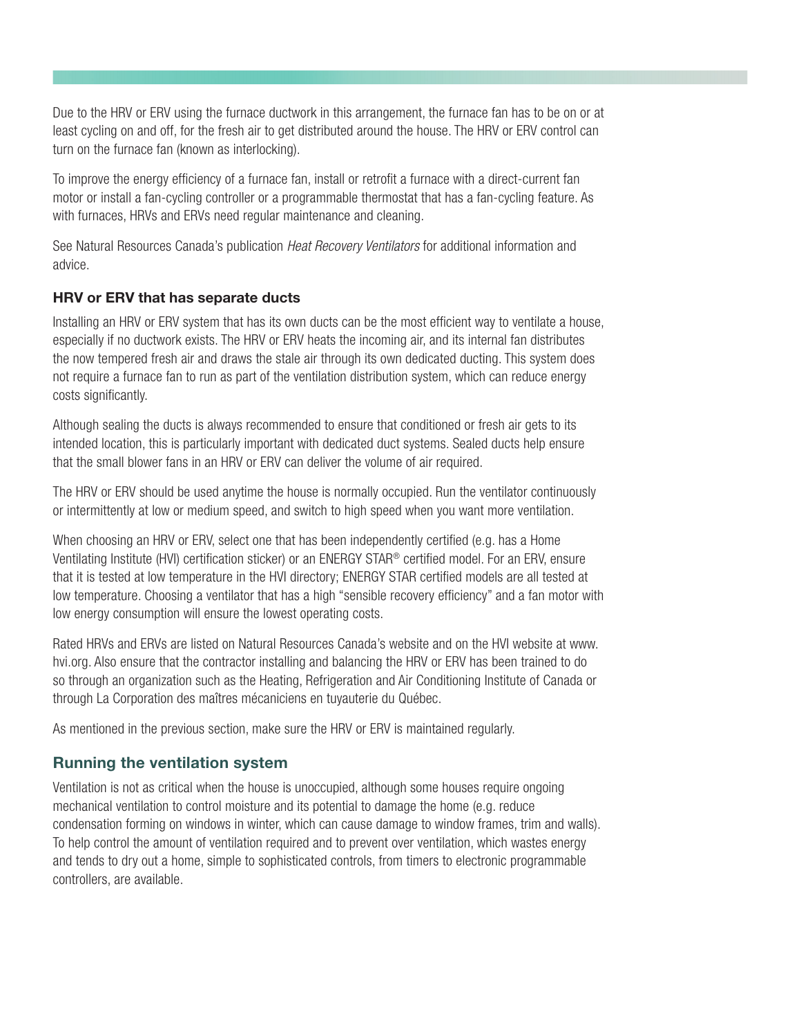Due to the HRV or ERV using the furnace ductwork in this arrangement, the furnace fan has to be on or at least cycling on and off, for the fresh air to get distributed around the house. The HRV or ERV control can turn on the furnace fan (known as interlocking).

To improve the energy efficiency of a furnace fan, install or retrofit a furnace with a direct-current fan motor or install a fan-cycling controller or a programmable thermostat that has a fan-cycling feature. As with furnaces, HRVs and ERVs need regular maintenance and cleaning.

See Natural Resources Canada's publication *Heat Recovery Ventilators* for additional information and advice.

### HRV or ERV that has separate ducts

Installing an HRV or ERV system that has its own ducts can be the most efficient way to ventilate a house, especially if no ductwork exists. The HRV or ERV heats the incoming air, and its internal fan distributes the now tempered fresh air and draws the stale air through its own dedicated ducting. This system does not require a furnace fan to run as part of the ventilation distribution system, which can reduce energy costs significantly.

Although sealing the ducts is always recommended to ensure that conditioned or fresh air gets to its intended location, this is particularly important with dedicated duct systems. Sealed ducts help ensure that the small blower fans in an HRV or ERV can deliver the volume of air required.

The HRV or ERV should be used anytime the house is normally occupied. Run the ventilator continuously or intermittently at low or medium speed, and switch to high speed when you want more ventilation.

When choosing an HRV or ERV, select one that has been independently certified (e.g. has a Home Ventilating Institute (HVI) certification sticker) or an ENERGY STAR® certified model. For an ERV, ensure that it is tested at low temperature in the HVI directory; ENERGY STAR certified models are all tested at low temperature. Choosing a ventilator that has a high "sensible recovery efficiency" and a fan motor with low energy consumption will ensure the lowest operating costs.

Rated HRVs and ERVs are listed on Natural Resources Canada's website and on the HVI website at www. hvi.org. Also ensure that the contractor installing and balancing the HRV or ERV has been trained to do so through an organization such as the Heating, Refrigeration and Air Conditioning Institute of Canada or through La Corporation des maîtres mécaniciens en tuyauterie du Québec.

As mentioned in the previous section, make sure the HRV or ERV is maintained regularly.

## Running the ventilation system

Ventilation is not as critical when the house is unoccupied, although some houses require ongoing mechanical ventilation to control moisture and its potential to damage the home (e.g. reduce condensation forming on windows in winter, which can cause damage to window frames, trim and walls). To help control the amount of ventilation required and to prevent over ventilation, which wastes energy and tends to dry out a home, simple to sophisticated controls, from timers to electronic programmable controllers, are available.